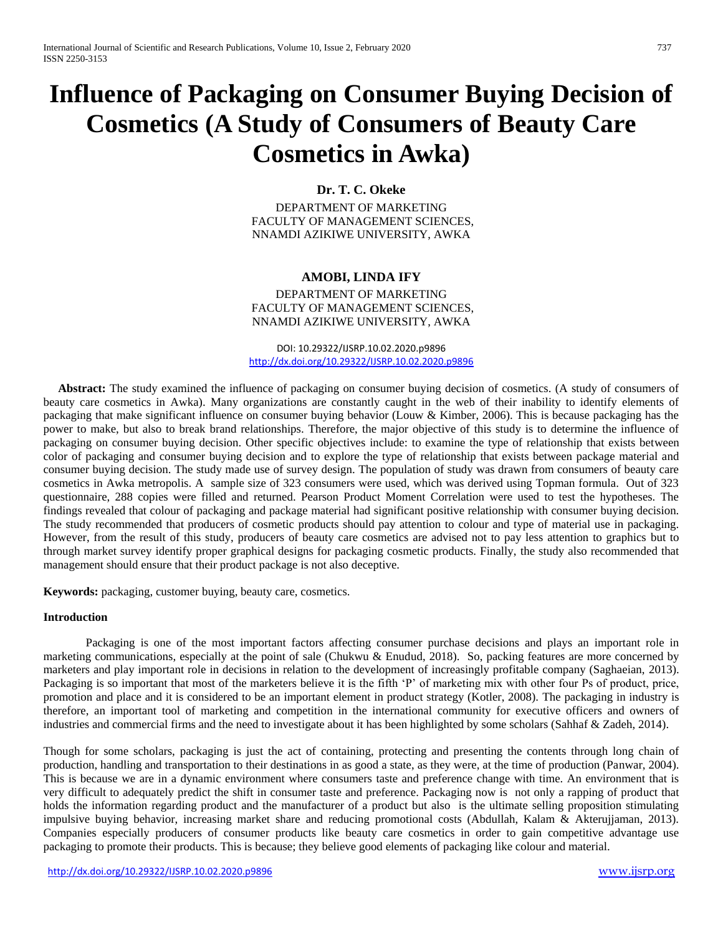# **Influence of Packaging on Consumer Buying Decision of Cosmetics (A Study of Consumers of Beauty Care Cosmetics in Awka)**

## **Dr. T. C. Okeke**

DEPARTMENT OF MARKETING FACULTY OF MANAGEMENT SCIENCES, NNAMDI AZIKIWE UNIVERSITY, AWKA

#### **AMOBI, LINDA IFY**

DEPARTMENT OF MARKETING FACULTY OF MANAGEMENT SCIENCES, NNAMDI AZIKIWE UNIVERSITY, AWKA

DOI: 10.29322/IJSRP.10.02.2020.p9896 <http://dx.doi.org/10.29322/IJSRP.10.02.2020.p9896>

 **Abstract:** The study examined the influence of packaging on consumer buying decision of cosmetics. (A study of consumers of beauty care cosmetics in Awka). Many organizations are constantly caught in the web of their inability to identify elements of packaging that make significant influence on consumer buying behavior (Louw & Kimber, 2006). This is because packaging has the power to make, but also to break brand relationships. Therefore, the major objective of this study is to determine the influence of packaging on consumer buying decision. Other specific objectives include: to examine the type of relationship that exists between color of packaging and consumer buying decision and to explore the type of relationship that exists between package material and consumer buying decision. The study made use of survey design. The population of study was drawn from consumers of beauty care cosmetics in Awka metropolis. A sample size of 323 consumers were used, which was derived using Topman formula. Out of 323 questionnaire, 288 copies were filled and returned. Pearson Product Moment Correlation were used to test the hypotheses. The findings revealed that colour of packaging and package material had significant positive relationship with consumer buying decision. The study recommended that producers of cosmetic products should pay attention to colour and type of material use in packaging. However, from the result of this study, producers of beauty care cosmetics are advised not to pay less attention to graphics but to through market survey identify proper graphical designs for packaging cosmetic products. Finally, the study also recommended that management should ensure that their product package is not also deceptive.

**Keywords:** packaging, customer buying, beauty care, cosmetics.

#### **Introduction**

Packaging is one of the most important factors affecting consumer purchase decisions and plays an important role in marketing communications, especially at the point of sale (Chukwu & Enudud, 2018). So, packing features are more concerned by marketers and play important role in decisions in relation to the development of increasingly profitable company (Saghaeian, 2013). Packaging is so important that most of the marketers believe it is the fifth 'P' of marketing mix with other four Ps of product, price, promotion and place and it is considered to be an important element in product strategy (Kotler, 2008). The packaging in industry is therefore, an important tool of marketing and competition in the international community for executive officers and owners of industries and commercial firms and the need to investigate about it has been highlighted by some scholars (Sahhaf & Zadeh, 2014).

Though for some scholars, packaging is just the act of containing, protecting and presenting the contents through long chain of production, handling and transportation to their destinations in as good a state, as they were, at the time of production (Panwar, 2004). This is because we are in a dynamic environment where consumers taste and preference change with time. An environment that is very difficult to adequately predict the shift in consumer taste and preference. Packaging now is not only a rapping of product that holds the information regarding product and the manufacturer of a product but also is the ultimate selling proposition stimulating impulsive buying behavior, increasing market share and reducing promotional costs (Abdullah, Kalam & Akterujjaman, 2013). Companies especially producers of consumer products like beauty care cosmetics in order to gain competitive advantage use packaging to promote their products. This is because; they believe good elements of packaging like colour and material.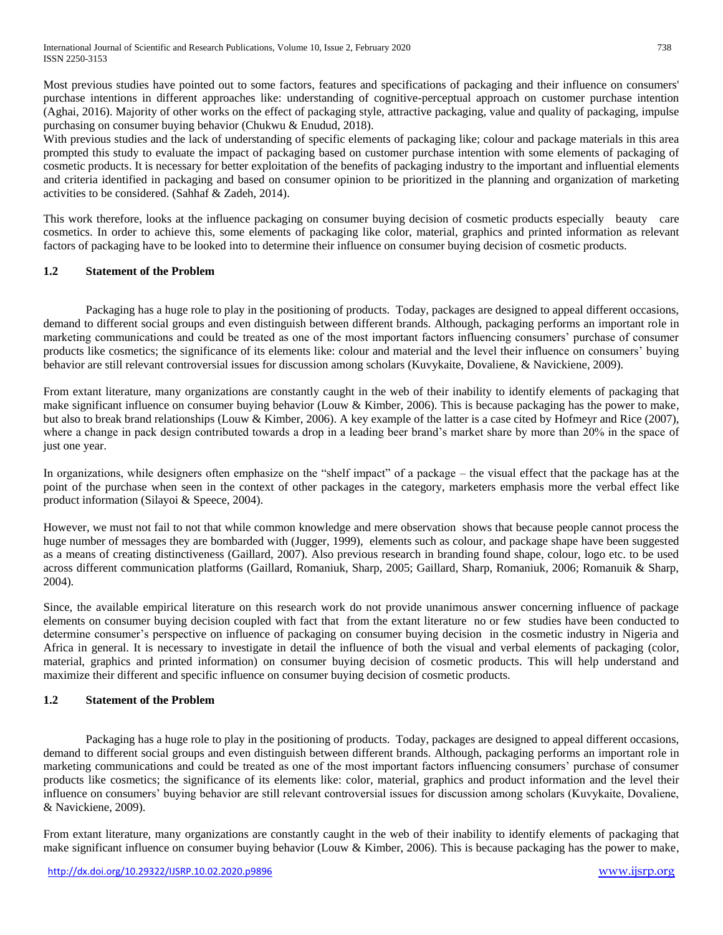Most previous studies have pointed out to some factors, features and specifications of packaging and their influence on consumers' purchase intentions in different approaches like: understanding of cognitive-perceptual approach on customer purchase intention (Aghai, 2016). Majority of other works on the effect of packaging style, attractive packaging, value and quality of packaging, impulse purchasing on consumer buying behavior (Chukwu & Enudud, 2018).

With previous studies and the lack of understanding of specific elements of packaging like; colour and package materials in this area prompted this study to evaluate the impact of packaging based on customer purchase intention with some elements of packaging of cosmetic products. It is necessary for better exploitation of the benefits of packaging industry to the important and influential elements and criteria identified in packaging and based on consumer opinion to be prioritized in the planning and organization of marketing activities to be considered. (Sahhaf & Zadeh, 2014).

This work therefore, looks at the influence packaging on consumer buying decision of cosmetic products especially beauty care cosmetics. In order to achieve this, some elements of packaging like color, material, graphics and printed information as relevant factors of packaging have to be looked into to determine their influence on consumer buying decision of cosmetic products.

# **1.2 Statement of the Problem**

Packaging has a huge role to play in the positioning of products. Today, packages are designed to appeal different occasions, demand to different social groups and even distinguish between different brands. Although, packaging performs an important role in marketing communications and could be treated as one of the most important factors influencing consumers' purchase of consumer products like cosmetics; the significance of its elements like: colour and material and the level their influence on consumers' buying behavior are still relevant controversial issues for discussion among scholars (Kuvykaite, Dovaliene, & Navickiene, 2009).

From extant literature, many organizations are constantly caught in the web of their inability to identify elements of packaging that make significant influence on consumer buying behavior (Louw & Kimber, 2006). This is because packaging has the power to make, but also to break brand relationships (Louw & Kimber, 2006). A key example of the latter is a case cited by Hofmeyr and Rice (2007), where a change in pack design contributed towards a drop in a leading beer brand's market share by more than 20% in the space of just one year.

In organizations, while designers often emphasize on the "shelf impact" of a package – the visual effect that the package has at the point of the purchase when seen in the context of other packages in the category, marketers emphasis more the verbal effect like product information (Silayoi & Speece, 2004).

However, we must not fail to not that while common knowledge and mere observation shows that because people cannot process the huge number of messages they are bombarded with (Jugger, 1999), elements such as colour, and package shape have been suggested as a means of creating distinctiveness (Gaillard, 2007). Also previous research in branding found shape, colour, logo etc. to be used across different communication platforms (Gaillard, Romaniuk, Sharp, 2005; Gaillard, Sharp, Romaniuk, 2006; Romanuik & Sharp, 2004).

Since, the available empirical literature on this research work do not provide unanimous answer concerning influence of package elements on consumer buying decision coupled with fact that from the extant literature no or few studies have been conducted to determine consumer's perspective on influence of packaging on consumer buying decision in the cosmetic industry in Nigeria and Africa in general. It is necessary to investigate in detail the influence of both the visual and verbal elements of packaging (color, material, graphics and printed information) on consumer buying decision of cosmetic products. This will help understand and maximize their different and specific influence on consumer buying decision of cosmetic products.

## **1.2 Statement of the Problem**

Packaging has a huge role to play in the positioning of products. Today, packages are designed to appeal different occasions, demand to different social groups and even distinguish between different brands. Although, packaging performs an important role in marketing communications and could be treated as one of the most important factors influencing consumers' purchase of consumer products like cosmetics; the significance of its elements like: color, material, graphics and product information and the level their influence on consumers' buying behavior are still relevant controversial issues for discussion among scholars (Kuvykaite, Dovaliene, & Navickiene, 2009).

From extant literature, many organizations are constantly caught in the web of their inability to identify elements of packaging that make significant influence on consumer buying behavior (Louw & Kimber, 2006). This is because packaging has the power to make,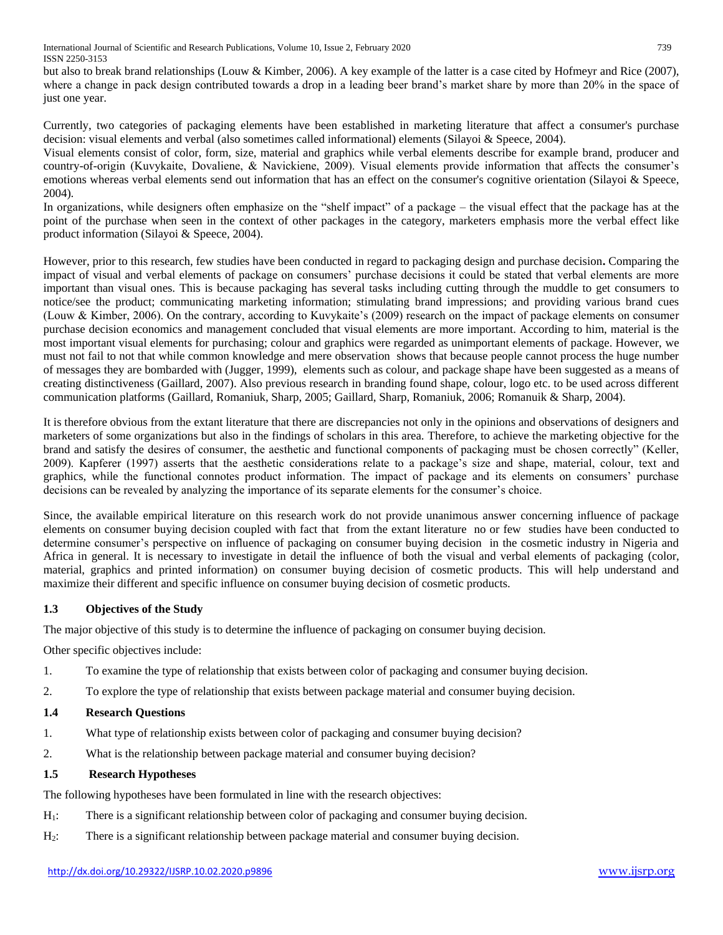International Journal of Scientific and Research Publications, Volume 10, Issue 2, February 2020 739 ISSN 2250-3153

but also to break brand relationships (Louw & Kimber, 2006). A key example of the latter is a case cited by Hofmeyr and Rice (2007), where a change in pack design contributed towards a drop in a leading beer brand's market share by more than 20% in the space of just one year.

Currently, two categories of packaging elements have been established in marketing literature that affect a consumer's purchase decision: visual elements and verbal (also sometimes called informational) elements (Silayoi & Speece, 2004).

Visual elements consist of color, form, size, material and graphics while verbal elements describe for example brand, producer and country-of-origin (Kuvykaite, Dovaliene, & Navickiene, 2009). Visual elements provide information that affects the consumer's emotions whereas verbal elements send out information that has an effect on the consumer's cognitive orientation (Silayoi & Speece, 2004).

In organizations, while designers often emphasize on the "shelf impact" of a package – the visual effect that the package has at the point of the purchase when seen in the context of other packages in the category, marketers emphasis more the verbal effect like product information (Silayoi & Speece, 2004).

However, prior to this research, few studies have been conducted in regard to packaging design and purchase decision**.** Comparing the impact of visual and verbal elements of package on consumers' purchase decisions it could be stated that verbal elements are more important than visual ones. This is because packaging has several tasks including cutting through the muddle to get consumers to notice/see the product; communicating marketing information; stimulating brand impressions; and providing various brand cues (Louw & Kimber, 2006). On the contrary, according to Kuvykaite's (2009) research on the impact of package elements on consumer purchase decision economics and management concluded that visual elements are more important. According to him, material is the most important visual elements for purchasing; colour and graphics were regarded as unimportant elements of package. However, we must not fail to not that while common knowledge and mere observation shows that because people cannot process the huge number of messages they are bombarded with (Jugger, 1999), elements such as colour, and package shape have been suggested as a means of creating distinctiveness (Gaillard, 2007). Also previous research in branding found shape, colour, logo etc. to be used across different communication platforms (Gaillard, Romaniuk, Sharp, 2005; Gaillard, Sharp, Romaniuk, 2006; Romanuik & Sharp, 2004).

It is therefore obvious from the extant literature that there are discrepancies not only in the opinions and observations of designers and marketers of some organizations but also in the findings of scholars in this area. Therefore, to achieve the marketing objective for the brand and satisfy the desires of consumer, the aesthetic and functional components of packaging must be chosen correctly" (Keller, 2009). Kapferer (1997) asserts that the aesthetic considerations relate to a package's size and shape, material, colour, text and graphics, while the functional connotes product information. The impact of package and its elements on consumers' purchase decisions can be revealed by analyzing the importance of its separate elements for the consumer's choice.

Since, the available empirical literature on this research work do not provide unanimous answer concerning influence of package elements on consumer buying decision coupled with fact that from the extant literature no or few studies have been conducted to determine consumer's perspective on influence of packaging on consumer buying decision in the cosmetic industry in Nigeria and Africa in general. It is necessary to investigate in detail the influence of both the visual and verbal elements of packaging (color, material, graphics and printed information) on consumer buying decision of cosmetic products. This will help understand and maximize their different and specific influence on consumer buying decision of cosmetic products.

## **1.3 Objectives of the Study**

The major objective of this study is to determine the influence of packaging on consumer buying decision.

Other specific objectives include:

- 1. To examine the type of relationship that exists between color of packaging and consumer buying decision.
- 2. To explore the type of relationship that exists between package material and consumer buying decision.

#### **1.4 Research Questions**

- 1. What type of relationship exists between color of packaging and consumer buying decision?
- 2. What is the relationship between package material and consumer buying decision?

## **1.5 Research Hypotheses**

The following hypotheses have been formulated in line with the research objectives:

- H<sub>1</sub>: There is a significant relationship between color of packaging and consumer buying decision.
- H2: There is a significant relationship between package material and consumer buying decision.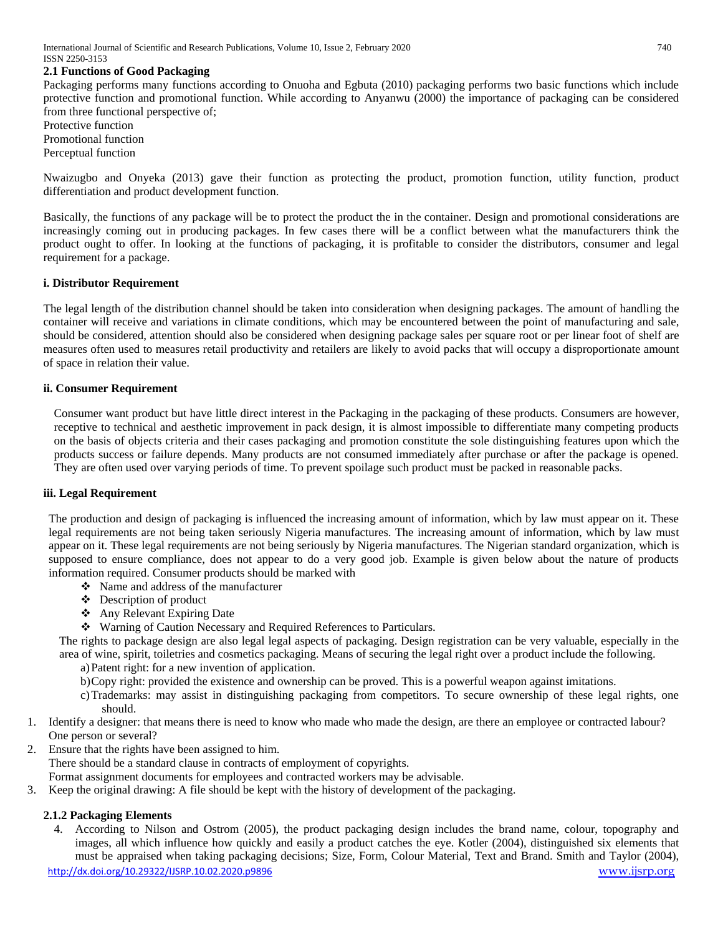## **2.1 Functions of Good Packaging**

Packaging performs many functions according to Onuoha and Egbuta (2010) packaging performs two basic functions which include protective function and promotional function. While according to Anyanwu (2000) the importance of packaging can be considered from three functional perspective of;

Protective function Promotional function Perceptual function

Nwaizugbo and Onyeka (2013) gave their function as protecting the product, promotion function, utility function, product differentiation and product development function.

Basically, the functions of any package will be to protect the product the in the container. Design and promotional considerations are increasingly coming out in producing packages. In few cases there will be a conflict between what the manufacturers think the product ought to offer. In looking at the functions of packaging, it is profitable to consider the distributors, consumer and legal requirement for a package.

#### **i. Distributor Requirement**

The legal length of the distribution channel should be taken into consideration when designing packages. The amount of handling the container will receive and variations in climate conditions, which may be encountered between the point of manufacturing and sale, should be considered, attention should also be considered when designing package sales per square root or per linear foot of shelf are measures often used to measures retail productivity and retailers are likely to avoid packs that will occupy a disproportionate amount of space in relation their value.

#### **ii. Consumer Requirement**

Consumer want product but have little direct interest in the Packaging in the packaging of these products. Consumers are however, receptive to technical and aesthetic improvement in pack design, it is almost impossible to differentiate many competing products on the basis of objects criteria and their cases packaging and promotion constitute the sole distinguishing features upon which the products success or failure depends. Many products are not consumed immediately after purchase or after the package is opened. They are often used over varying periods of time. To prevent spoilage such product must be packed in reasonable packs.

#### **iii. Legal Requirement**

The production and design of packaging is influenced the increasing amount of information, which by law must appear on it. These legal requirements are not being taken seriously Nigeria manufactures. The increasing amount of information, which by law must appear on it. These legal requirements are not being seriously by Nigeria manufactures. The Nigerian standard organization, which is supposed to ensure compliance, does not appear to do a very good job. Example is given below about the nature of products information required. Consumer products should be marked with

- $\div$  Name and address of the manufacturer
- Description of product
- Any Relevant Expiring Date
- Warning of Caution Necessary and Required References to Particulars.

The rights to package design are also legal legal aspects of packaging. Design registration can be very valuable, especially in the area of wine, spirit, toiletries and cosmetics packaging. Means of securing the legal right over a product include the following.

- a)Patent right: for a new invention of application.
- b)Copy right: provided the existence and ownership can be proved. This is a powerful weapon against imitations.
- c)Trademarks: may assist in distinguishing packaging from competitors. To secure ownership of these legal rights, one should.
- 1. Identify a designer: that means there is need to know who made who made the design, are there an employee or contracted labour? One person or several?
- 2. Ensure that the rights have been assigned to him.

There should be a standard clause in contracts of employment of copyrights.

- Format assignment documents for employees and contracted workers may be advisable.
- 3. Keep the original drawing: A file should be kept with the history of development of the packaging.

## **2.1.2 Packaging Elements**

4. According to Nilson and Ostrom (2005), the product packaging design includes the brand name, colour, topography and images, all which influence how quickly and easily a product catches the eye. Kotler (2004), distinguished six elements that must be appraised when taking packaging decisions; Size, Form, Colour Material, Text and Brand. Smith and Taylor (2004),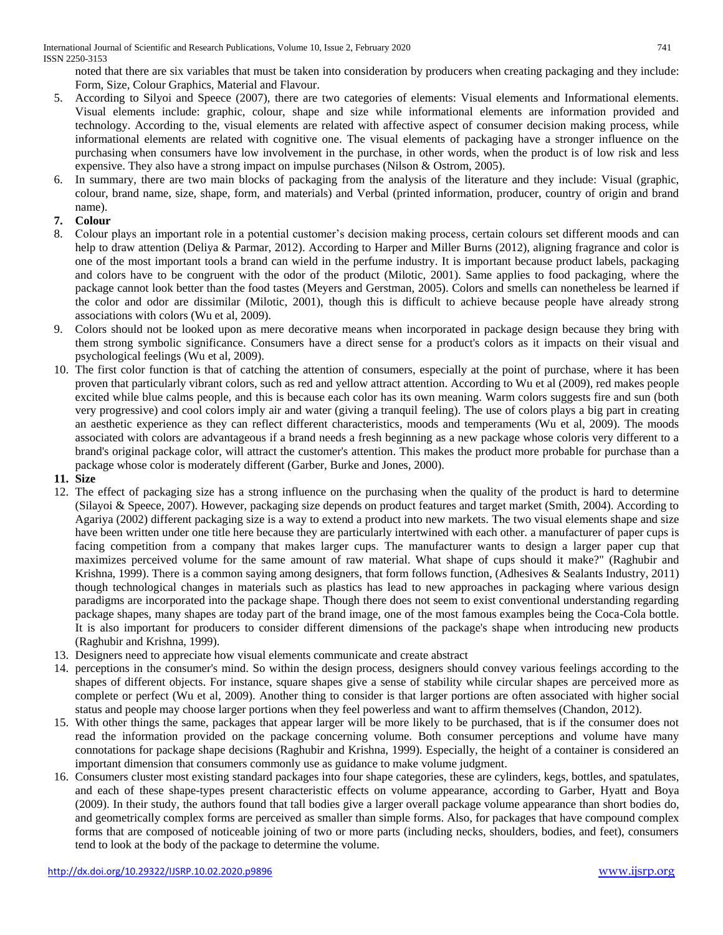noted that there are six variables that must be taken into consideration by producers when creating packaging and they include: Form, Size, Colour Graphics, Material and Flavour.

- 5. According to Silyoi and Speece (2007), there are two categories of elements: Visual elements and Informational elements. Visual elements include: graphic, colour, shape and size while informational elements are information provided and technology. According to the, visual elements are related with affective aspect of consumer decision making process, while informational elements are related with cognitive one. The visual elements of packaging have a stronger influence on the purchasing when consumers have low involvement in the purchase, in other words, when the product is of low risk and less expensive. They also have a strong impact on impulse purchases (Nilson & Ostrom, 2005).
- 6. In summary, there are two main blocks of packaging from the analysis of the literature and they include: Visual (graphic, colour, brand name, size, shape, form, and materials) and Verbal (printed information, producer, country of origin and brand name).

# **7. Colour**

- 8. Colour plays an important role in a potential customer's decision making process, certain colours set different moods and can help to draw attention (Deliya & Parmar, 2012). According to Harper and Miller Burns (2012), aligning fragrance and color is one of the most important tools a brand can wield in the perfume industry. It is important because product labels, packaging and colors have to be congruent with the odor of the product (Milotic, 2001). Same applies to food packaging, where the package cannot look better than the food tastes (Meyers and Gerstman, 2005). Colors and smells can nonetheless be learned if the color and odor are dissimilar (Milotic, 2001), though this is difficult to achieve because people have already strong associations with colors (Wu et al, 2009).
- 9. Colors should not be looked upon as mere decorative means when incorporated in package design because they bring with them strong symbolic significance. Consumers have a direct sense for a product's colors as it impacts on their visual and psychological feelings (Wu et al, 2009).
- 10. The first color function is that of catching the attention of consumers, especially at the point of purchase, where it has been proven that particularly vibrant colors, such as red and yellow attract attention. According to Wu et al (2009), red makes people excited while blue calms people, and this is because each color has its own meaning. Warm colors suggests fire and sun (both very progressive) and cool colors imply air and water (giving a tranquil feeling). The use of colors plays a big part in creating an aesthetic experience as they can reflect different characteristics, moods and temperaments (Wu et al, 2009). The moods associated with colors are advantageous if a brand needs a fresh beginning as a new package whose coloris very different to a brand's original package color, will attract the customer's attention. This makes the product more probable for purchase than a package whose color is moderately different (Garber, Burke and Jones, 2000).

## **11. Size**

- 12. The effect of packaging size has a strong influence on the purchasing when the quality of the product is hard to determine (Silayoi & Speece, 2007). However, packaging size depends on product features and target market (Smith, 2004). According to Agariya (2002) different packaging size is a way to extend a product into new markets. The two visual elements shape and size have been written under one title here because they are particularly intertwined with each other. a manufacturer of paper cups is facing competition from a company that makes larger cups. The manufacturer wants to design a larger paper cup that maximizes perceived volume for the same amount of raw material. What shape of cups should it make?" (Raghubir and Krishna, 1999). There is a common saying among designers, that form follows function, (Adhesives & Sealants Industry, 2011) though technological changes in materials such as plastics has lead to new approaches in packaging where various design paradigms are incorporated into the package shape. Though there does not seem to exist conventional understanding regarding package shapes, many shapes are today part of the brand image, one of the most famous examples being the Coca-Cola bottle. It is also important for producers to consider different dimensions of the package's shape when introducing new products (Raghubir and Krishna, 1999).
- 13. Designers need to appreciate how visual elements communicate and create abstract
- 14. perceptions in the consumer's mind. So within the design process, designers should convey various feelings according to the shapes of different objects. For instance, square shapes give a sense of stability while circular shapes are perceived more as complete or perfect (Wu et al, 2009). Another thing to consider is that larger portions are often associated with higher social status and people may choose larger portions when they feel powerless and want to affirm themselves (Chandon, 2012).
- 15. With other things the same, packages that appear larger will be more likely to be purchased, that is if the consumer does not read the information provided on the package concerning volume. Both consumer perceptions and volume have many connotations for package shape decisions (Raghubir and Krishna, 1999). Especially, the height of a container is considered an important dimension that consumers commonly use as guidance to make volume judgment.
- 16. Consumers cluster most existing standard packages into four shape categories, these are cylinders, kegs, bottles, and spatulates, and each of these shape-types present characteristic effects on volume appearance, according to Garber, Hyatt and Boya (2009). In their study, the authors found that tall bodies give a larger overall package volume appearance than short bodies do, and geometrically complex forms are perceived as smaller than simple forms. Also, for packages that have compound complex forms that are composed of noticeable joining of two or more parts (including necks, shoulders, bodies, and feet), consumers tend to look at the body of the package to determine the volume.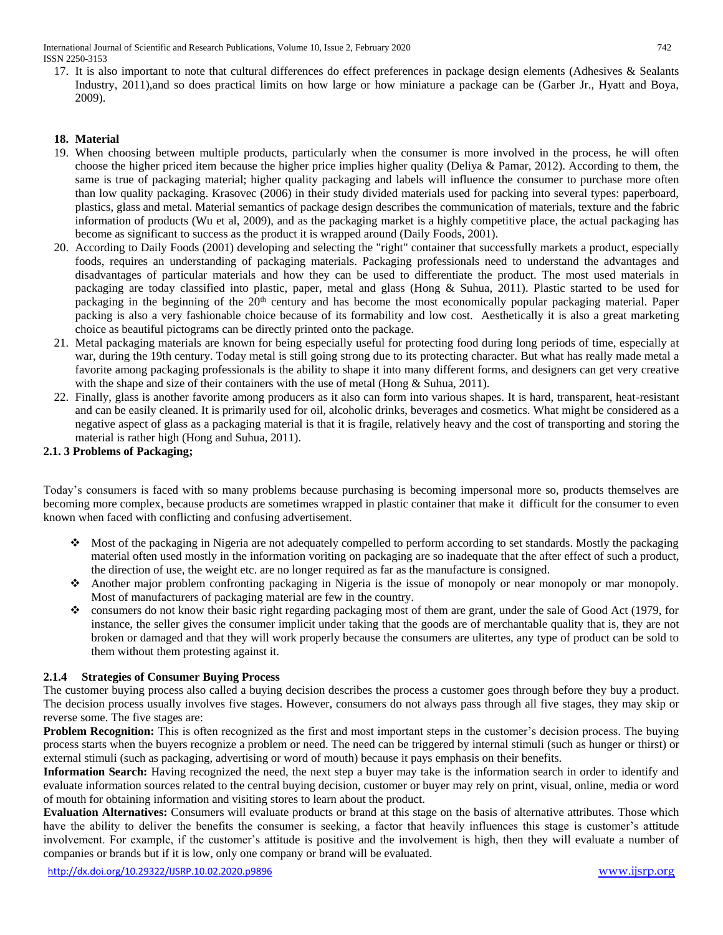International Journal of Scientific and Research Publications, Volume 10, Issue 2, February 2020 742 ISSN 2250-3153

17. It is also important to note that cultural differences do effect preferences in package design elements (Adhesives & Sealants Industry, 2011),and so does practical limits on how large or how miniature a package can be (Garber Jr., Hyatt and Boya, 2009).

## **18. Material**

- 19. When choosing between multiple products, particularly when the consumer is more involved in the process, he will often choose the higher priced item because the higher price implies higher quality (Deliya & Pamar, 2012). According to them, the same is true of packaging material; higher quality packaging and labels will influence the consumer to purchase more often than low quality packaging. Krasovec (2006) in their study divided materials used for packing into several types: paperboard, plastics, glass and metal. Material semantics of package design describes the communication of materials, texture and the fabric information of products (Wu et al, 2009), and as the packaging market is a highly competitive place, the actual packaging has become as significant to success as the product it is wrapped around (Daily Foods, 2001).
- 20. According to Daily Foods (2001) developing and selecting the "right" container that successfully markets a product, especially foods, requires an understanding of packaging materials. Packaging professionals need to understand the advantages and disadvantages of particular materials and how they can be used to differentiate the product. The most used materials in packaging are today classified into plastic, paper, metal and glass (Hong & Suhua, 2011). Plastic started to be used for packaging in the beginning of the 20<sup>th</sup> century and has become the most economically popular packaging material. Paper packing is also a very fashionable choice because of its formability and low cost. Aesthetically it is also a great marketing choice as beautiful pictograms can be directly printed onto the package.
- 21. Metal packaging materials are known for being especially useful for protecting food during long periods of time, especially at war, during the 19th century. Today metal is still going strong due to its protecting character. But what has really made metal a favorite among packaging professionals is the ability to shape it into many different forms, and designers can get very creative with the shape and size of their containers with the use of metal (Hong & Suhua, 2011).
- 22. Finally, glass is another favorite among producers as it also can form into various shapes. It is hard, transparent, heat-resistant and can be easily cleaned. It is primarily used for oil, alcoholic drinks, beverages and cosmetics. What might be considered as a negative aspect of glass as a packaging material is that it is fragile, relatively heavy and the cost of transporting and storing the material is rather high (Hong and Suhua, 2011).

## **2.1. 3 Problems of Packaging;**

Today's consumers is faced with so many problems because purchasing is becoming impersonal more so, products themselves are becoming more complex, because products are sometimes wrapped in plastic container that make it difficult for the consumer to even known when faced with conflicting and confusing advertisement.

- $\bullet$  Most of the packaging in Nigeria are not adequately compelled to perform according to set standards. Mostly the packaging material often used mostly in the information voriting on packaging are so inadequate that the after effect of such a product, the direction of use, the weight etc. are no longer required as far as the manufacture is consigned.
- Another major problem confronting packaging in Nigeria is the issue of monopoly or near monopoly or mar monopoly. Most of manufacturers of packaging material are few in the country.
- consumers do not know their basic right regarding packaging most of them are grant, under the sale of Good Act (1979, for instance, the seller gives the consumer implicit under taking that the goods are of merchantable quality that is, they are not broken or damaged and that they will work properly because the consumers are ulitertes, any type of product can be sold to them without them protesting against it.

#### **2.1.4 Strategies of Consumer Buying Process**

The customer buying process also called a buying decision describes the process a customer goes through before they buy a product. The decision process usually involves five stages. However, consumers do not always pass through all five stages, they may skip or reverse some. The five stages are:

**Problem Recognition:** This is often recognized as the first and most important steps in the customer's decision process. The buying process starts when the buyers recognize a problem or need. The need can be triggered by internal stimuli (such as hunger or thirst) or external stimuli (such as packaging, advertising or word of mouth) because it pays emphasis on their benefits.

**Information Search:** Having recognized the need, the next step a buyer may take is the information search in order to identify and evaluate information sources related to the central buying decision, customer or buyer may rely on print, visual, online, media or word of mouth for obtaining information and visiting stores to learn about the product.

**Evaluation Alternatives:** Consumers will evaluate products or brand at this stage on the basis of alternative attributes. Those which have the ability to deliver the benefits the consumer is seeking, a factor that heavily influences this stage is customer's attitude involvement. For example, if the customer's attitude is positive and the involvement is high, then they will evaluate a number of companies or brands but if it is low, only one company or brand will be evaluated.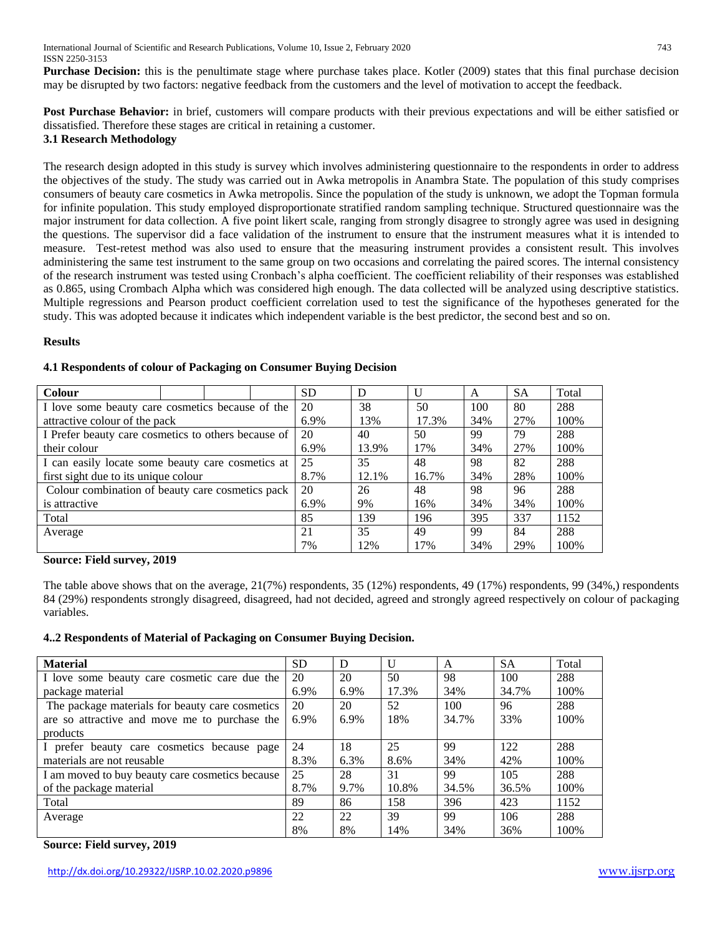**Purchase Decision:** this is the penultimate stage where purchase takes place. Kotler (2009) states that this final purchase decision may be disrupted by two factors: negative feedback from the customers and the level of motivation to accept the feedback.

**Post Purchase Behavior:** in brief, customers will compare products with their previous expectations and will be either satisfied or dissatisfied. Therefore these stages are critical in retaining a customer.

# **3.1 Research Methodology**

The research design adopted in this study is survey which involves administering questionnaire to the respondents in order to address the objectives of the study. The study was carried out in Awka metropolis in Anambra State. The population of this study comprises consumers of beauty care cosmetics in Awka metropolis. Since the population of the study is unknown, we adopt the Topman formula for infinite population. This study employed disproportionate stratified random sampling technique. Structured questionnaire was the major instrument for data collection. A five point likert scale, ranging from strongly disagree to strongly agree was used in designing the questions. The supervisor did a face validation of the instrument to ensure that the instrument measures what it is intended to measure. Test-retest method was also used to ensure that the measuring instrument provides a consistent result. This involves administering the same test instrument to the same group on two occasions and correlating the paired scores. The internal consistency of the research instrument was tested using Cronbach's alpha coefficient. The coefficient reliability of their responses was established as 0.865, using Crombach Alpha which was considered high enough. The data collected will be analyzed using descriptive statistics. Multiple regressions and Pearson product coefficient correlation used to test the significance of the hypotheses generated for the study. This was adopted because it indicates which independent variable is the best predictor, the second best and so on.

## **Results**

| <b>Colour</b>                                       |  |  |      | <b>SD</b> | D     |       | A   | <b>SA</b> | Total |
|-----------------------------------------------------|--|--|------|-----------|-------|-------|-----|-----------|-------|
| I love some beauty care cosmetics because of the    |  |  |      | 20        | 38    | 50    | 100 | 80        | 288   |
| attractive colour of the pack                       |  |  |      | 6.9%      | 13%   | 17.3% | 34% | 27%       | 100%  |
| I Prefer beauty care cosmetics to others because of |  |  | 20   | 40        | 50    | 99    | 79  | 288       |       |
| their colour                                        |  |  | 6.9% | 13.9%     | 17%   | 34%   | 27% | 100%      |       |
| I can easily locate some beauty care cosmetics at   |  |  | 25   | 35        | 48    | 98    | 82  | 288       |       |
| first sight due to its unique colour                |  |  | 8.7% | 12.1%     | 16.7% | 34%   | 28% | 100%      |       |
| Colour combination of beauty care cosmetics pack    |  |  | 20   | 26        | 48    | 98    | 96  | 288       |       |
| is attractive                                       |  |  | 6.9% | 9%        | 16%   | 34%   | 34% | 100%      |       |
| Total                                               |  |  | 85   | 139       | 196   | 395   | 337 | 1152      |       |
| Average                                             |  |  | 21   | 35        | 49    | 99    | 84  | 288       |       |
|                                                     |  |  | 7%   | 12%       | 17%   | 34%   | 29% | 100%      |       |

## **4.1 Respondents of colour of Packaging on Consumer Buying Decision**

#### **Source: Field survey, 2019**

The table above shows that on the average, 21(7%) respondents, 35 (12%) respondents, 49 (17%) respondents, 99 (34%,) respondents 84 (29%) respondents strongly disagreed, disagreed, had not decided, agreed and strongly agreed respectively on colour of packaging variables.

## **4..2 Respondents of Material of Packaging on Consumer Buying Decision.**

| <b>Material</b>                                 | <b>SD</b> | D    | $\mathbf{U}$ | A     | <b>SA</b> | Total |
|-------------------------------------------------|-----------|------|--------------|-------|-----------|-------|
| I love some beauty care cosmetic care due the   | 20        | 20   | 50           | 98    | 100       | 288   |
| package material                                | 6.9%      | 6.9% | 17.3%        | 34%   | 34.7%     | 100%  |
| The package materials for beauty care cosmetics | 20        | 20   | 52           | 100   | 96        | 288   |
| are so attractive and move me to purchase the   | 6.9%      | 6.9% | 18%          | 34.7% | 33%       | 100%  |
| products                                        |           |      |              |       |           |       |
| I prefer beauty care cosmetics because page     | 24        | 18   | 25           | 99    | 122       | 288   |
| materials are not reusable                      | 8.3%      | 6.3% | 8.6%         | 34%   | 42%       | 100%  |
| I am moved to buy beauty care cosmetics because | 25        | 28   | 31           | 99    | 105       | 288   |
| of the package material                         | 8.7%      | 9.7% | 10.8%        | 34.5% | 36.5%     | 100%  |
| Total                                           | 89        | 86   | 158          | 396   | 423       | 1152  |
| Average                                         | 22        | 22   | 39           | 99    | 106       | 288   |
|                                                 | 8%        | 8%   | 14%          | 34%   | 36%       | 100%  |

## **Source: Field survey, 2019**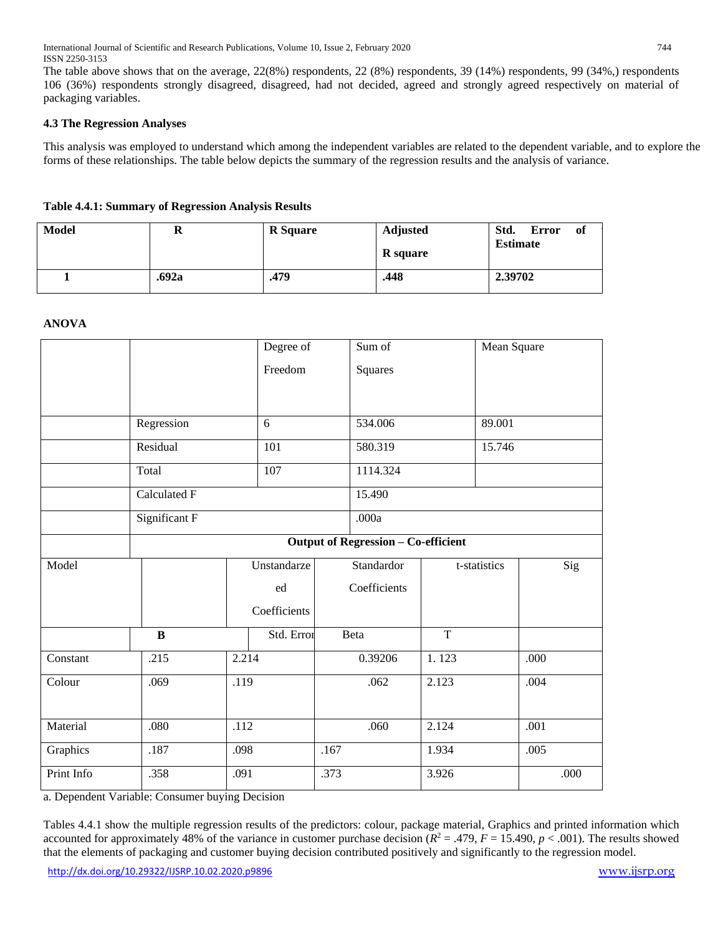The table above shows that on the average, 22(8%) respondents, 22 (8%) respondents, 39 (14%) respondents, 99 (34%,) respondents 106 (36%) respondents strongly disagreed, disagreed, had not decided, agreed and strongly agreed respectively on material of packaging variables.

# **4.3 The Regression Analyses**

This analysis was employed to understand which among the independent variables are related to the dependent variable, and to explore the forms of these relationships. The table below depicts the summary of the regression results and the analysis of variance.

# **Table 4.4.1: Summary of Regression Analysis Results**

| Model | A     | <b>R</b> Square | <b>Adjusted</b><br>R square | Std.<br>of<br><b>Error</b><br><b>Estimate</b> |
|-------|-------|-----------------|-----------------------------|-----------------------------------------------|
|       | .692a | .479            | .448                        | 2.39702                                       |

## **ANOVA**

|            |                                            |       | Degree of<br>Sum of |      |              | Mean Square |              |        |      |
|------------|--------------------------------------------|-------|---------------------|------|--------------|-------------|--------------|--------|------|
|            |                                            |       | Freedom             |      | Squares      |             |              |        |      |
|            |                                            |       |                     |      |              |             |              |        |      |
|            |                                            |       |                     |      |              |             |              |        |      |
|            | Regression                                 |       | 6                   |      | 534.006      |             | 89.001       |        |      |
|            | Residual                                   |       |                     | 101  |              | 580.319     |              | 15.746 |      |
|            | Total                                      |       | 107                 |      | 1114.324     |             |              |        |      |
|            | Calculated F                               |       |                     |      | 15.490       |             |              |        |      |
|            | Significant F                              |       |                     |      | .000a        |             |              |        |      |
|            | <b>Output of Regression - Co-efficient</b> |       |                     |      |              |             |              |        |      |
| Model      |                                            |       | Unstandarze         |      | Standardor   |             | t-statistics |        | Sig  |
|            |                                            |       | ed                  |      | Coefficients |             |              |        |      |
|            |                                            |       | Coefficients        |      |              |             |              |        |      |
|            | $\bf{B}$                                   |       | Std. Error          |      | <b>Beta</b>  | T           |              |        |      |
| Constant   | .215                                       | 2.214 |                     |      | 0.39206      | 1.123       |              | .000   |      |
| Colour     | .069                                       | .119  |                     |      | .062         | 2.123       |              | .004   |      |
|            |                                            |       |                     |      |              |             |              |        |      |
| Material   | .080                                       | .112  |                     |      | .060         | 2.124       |              | .001   |      |
| Graphics   | .187                                       | .098  |                     | .167 |              | 1.934       |              | .005   |      |
| Print Info | .358                                       | .091  |                     | .373 |              | 3.926       |              |        | .000 |

a. Dependent Variable: Consumer buying Decision

Tables 4.4.1 show the multiple regression results of the predictors: colour, package material, Graphics and printed information which accounted for approximately 48% of the variance in customer purchase decision  $(R^2 = .479, F = 15.490, p < .001)$ . The results showed that the elements of packaging and customer buying decision contributed positively and significantly to the regression model.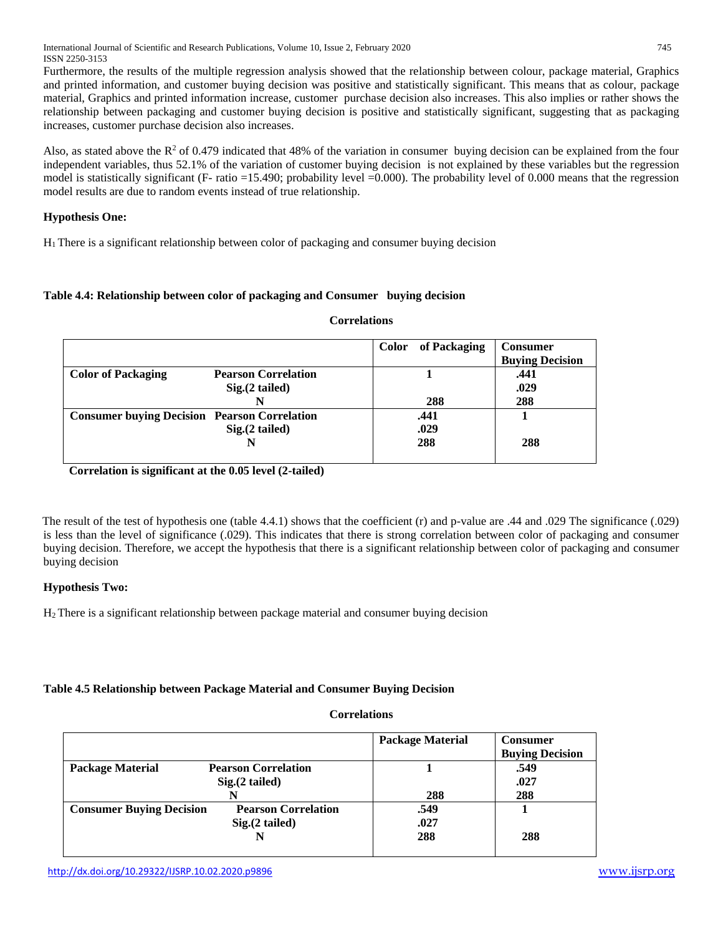International Journal of Scientific and Research Publications, Volume 10, Issue 2, February 2020 745 ISSN 2250-3153

Furthermore, the results of the multiple regression analysis showed that the relationship between colour, package material, Graphics and printed information, and customer buying decision was positive and statistically significant. This means that as colour, package material, Graphics and printed information increase, customer purchase decision also increases. This also implies or rather shows the relationship between packaging and customer buying decision is positive and statistically significant, suggesting that as packaging increases, customer purchase decision also increases.

Also, as stated above the  $R^2$  of 0.479 indicated that 48% of the variation in consumer buying decision can be explained from the four independent variables, thus 52.1% of the variation of customer buying decision is not explained by these variables but the regression model is statistically significant (F- ratio =15.490; probability level =0.000). The probability level of 0.000 means that the regression model results are due to random events instead of true relationship.

# **Hypothesis One:**

H1 There is a significant relationship between color of packaging and consumer buying decision

## **Table 4.4: Relationship between color of packaging and Consumer buying decision**

|                                                     |                            | of Packaging<br><b>Color</b> | <b>Consumer</b><br><b>Buying Decision</b> |
|-----------------------------------------------------|----------------------------|------------------------------|-------------------------------------------|
| <b>Color of Packaging</b>                           | <b>Pearson Correlation</b> |                              | .441                                      |
|                                                     | $Sig.(2$ tailed)           |                              | .029                                      |
|                                                     |                            | 288                          | 288                                       |
| <b>Consumer buying Decision Pearson Correlation</b> |                            | .441                         |                                           |
|                                                     | $Sig.(2$ tailed)           | .029                         |                                           |
|                                                     |                            | 288                          | 288                                       |
|                                                     |                            |                              |                                           |

#### **Correlations**

**Correlation is significant at the 0.05 level (2-tailed)**

The result of the test of hypothesis one (table 4.4.1) shows that the coefficient (r) and p-value are .44 and .029 The significance (.029) is less than the level of significance (.029). This indicates that there is strong correlation between color of packaging and consumer buying decision. Therefore, we accept the hypothesis that there is a significant relationship between color of packaging and consumer buying decision

## **Hypothesis Two:**

H2 There is a significant relationship between package material and consumer buying decision

## **Table 4.5 Relationship between Package Material and Consumer Buying Decision**

#### **Correlations**

|                                 |                            | <b>Package Material</b> | <b>Consumer</b>        |
|---------------------------------|----------------------------|-------------------------|------------------------|
|                                 |                            |                         | <b>Buying Decision</b> |
| <b>Package Material</b>         | <b>Pearson Correlation</b> |                         | .549                   |
|                                 | $Sig(2$ tailed)            |                         | .027                   |
|                                 |                            | 288                     | 288                    |
| <b>Consumer Buying Decision</b> | <b>Pearson Correlation</b> | .549                    |                        |
|                                 | $Sig.(2$ tailed)           | .027                    |                        |
|                                 |                            | 288                     | 288                    |
|                                 |                            |                         |                        |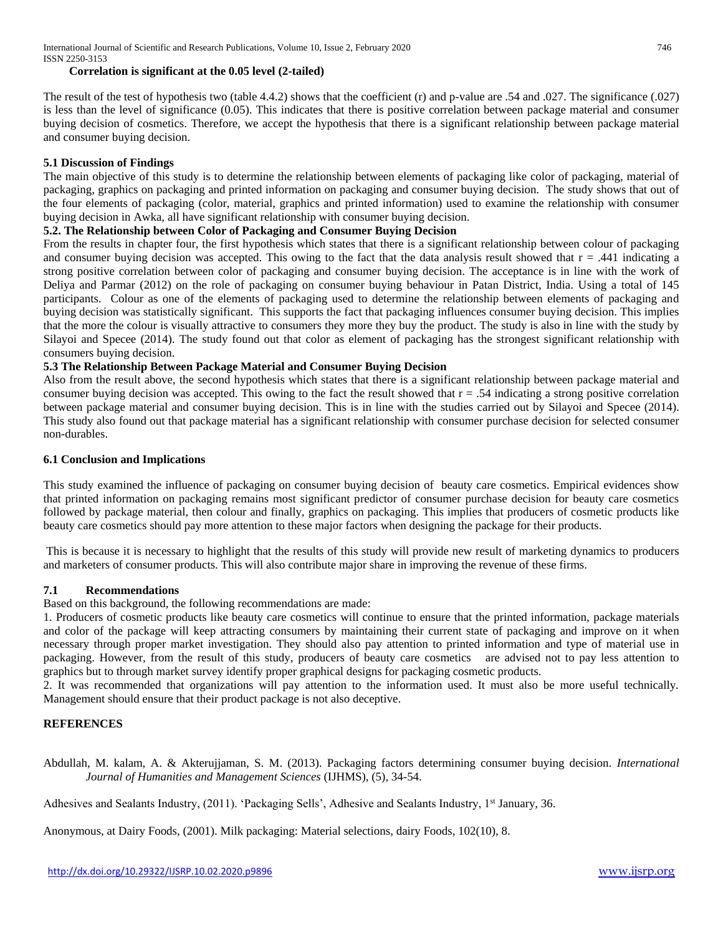## **Correlation is significant at the 0.05 level (2-tailed)**

The result of the test of hypothesis two (table 4.4.2) shows that the coefficient (r) and p-value are .54 and .027. The significance (.027) is less than the level of significance (0.05). This indicates that there is positive correlation between package material and consumer buying decision of cosmetics. Therefore, we accept the hypothesis that there is a significant relationship between package material and consumer buying decision.

# **5.1 Discussion of Findings**

The main objective of this study is to determine the relationship between elements of packaging like color of packaging, material of packaging, graphics on packaging and printed information on packaging and consumer buying decision. The study shows that out of the four elements of packaging (color, material, graphics and printed information) used to examine the relationship with consumer buying decision in Awka, all have significant relationship with consumer buying decision.

## **5.2. The Relationship between Color of Packaging and Consumer Buying Decision**

From the results in chapter four, the first hypothesis which states that there is a significant relationship between colour of packaging and consumer buying decision was accepted. This owing to the fact that the data analysis result showed that  $r = .441$  indicating a strong positive correlation between color of packaging and consumer buying decision. The acceptance is in line with the work of Deliya and Parmar (2012) on the role of packaging on consumer buying behaviour in Patan District, India. Using a total of 145 participants. Colour as one of the elements of packaging used to determine the relationship between elements of packaging and buying decision was statistically significant. This supports the fact that packaging influences consumer buying decision. This implies that the more the colour is visually attractive to consumers they more they buy the product. The study is also in line with the study by Silayoi and Specee (2014). The study found out that color as element of packaging has the strongest significant relationship with consumers buying decision.

#### **5.3 The Relationship Between Package Material and Consumer Buying Decision**

Also from the result above, the second hypothesis which states that there is a significant relationship between package material and consumer buying decision was accepted. This owing to the fact the result showed that  $r = .54$  indicating a strong positive correlation between package material and consumer buying decision. This is in line with the studies carried out by Silayoi and Specee (2014). This study also found out that package material has a significant relationship with consumer purchase decision for selected consumer non-durables.

#### **6.1 Conclusion and Implications**

This study examined the influence of packaging on consumer buying decision of beauty care cosmetics. Empirical evidences show that printed information on packaging remains most significant predictor of consumer purchase decision for beauty care cosmetics followed by package material, then colour and finally, graphics on packaging. This implies that producers of cosmetic products like beauty care cosmetics should pay more attention to these major factors when designing the package for their products.

This is because it is necessary to highlight that the results of this study will provide new result of marketing dynamics to producers and marketers of consumer products. This will also contribute major share in improving the revenue of these firms.

#### **7.1 Recommendations**

Based on this background, the following recommendations are made:

1. Producers of cosmetic products like beauty care cosmetics will continue to ensure that the printed information, package materials and color of the package will keep attracting consumers by maintaining their current state of packaging and improve on it when necessary through proper market investigation. They should also pay attention to printed information and type of material use in packaging. However, from the result of this study, producers of beauty care cosmetics are advised not to pay less attention to graphics but to through market survey identify proper graphical designs for packaging cosmetic products.

2. It was recommended that organizations will pay attention to the information used. It must also be more useful technically. Management should ensure that their product package is not also deceptive.

#### **REFERENCES**

Abdullah, M. kalam, A. & Akterujjaman, S. M. (2013). Packaging factors determining consumer buying decision. *International Journal of Humanities and Management Sciences* (IJHMS), (5), 34-54.

Adhesives and Sealants Industry, (2011). 'Packaging Sells', Adhesive and Sealants Industry, 1<sup>st</sup> January, 36.

Anonymous, at Dairy Foods, (2001). Milk packaging: Material selections, dairy Foods, 102(10), 8.